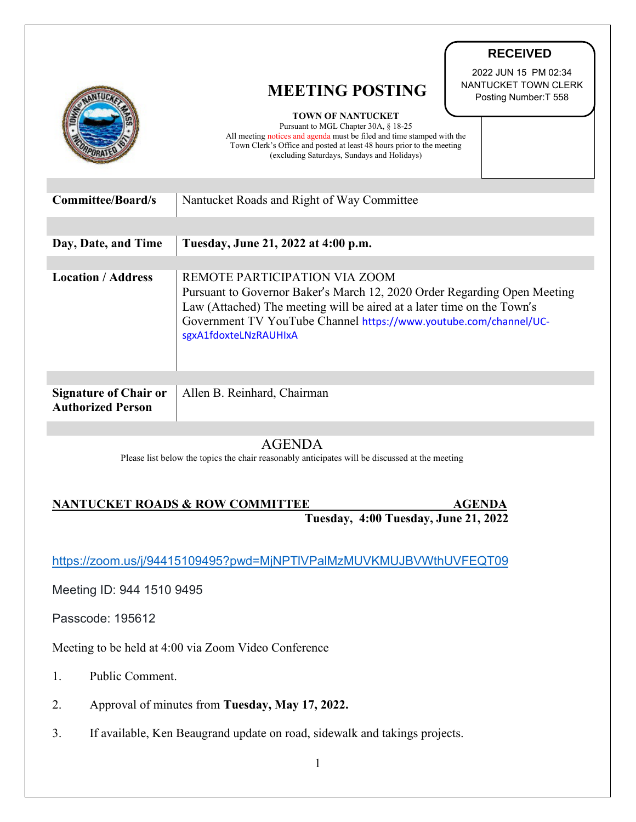|                                                          | <b>MEETING POSTING</b><br><b>TOWN OF NANTUCKET</b><br>Pursuant to MGL Chapter 30A, § 18-25                                                                                                                                                                                        | <b>RECEIVED</b><br>2022 JUN 15 PM 02:34<br>NANTUCKET TOWN CLERK<br>Posting Number: T 558 |
|----------------------------------------------------------|-----------------------------------------------------------------------------------------------------------------------------------------------------------------------------------------------------------------------------------------------------------------------------------|------------------------------------------------------------------------------------------|
|                                                          | All meeting notices and agenda must be filed and time stamped with the<br>Town Clerk's Office and posted at least 48 hours prior to the meeting<br>(excluding Saturdays, Sundays and Holidays)                                                                                    |                                                                                          |
| <b>Committee/Board/s</b>                                 | Nantucket Roads and Right of Way Committee                                                                                                                                                                                                                                        |                                                                                          |
| Day, Date, and Time                                      | Tuesday, June 21, 2022 at 4:00 p.m.                                                                                                                                                                                                                                               |                                                                                          |
| <b>Location / Address</b>                                | REMOTE PARTICIPATION VIA ZOOM<br>Pursuant to Governor Baker's March 12, 2020 Order Regarding Open Meeting<br>Law (Attached) The meeting will be aired at a later time on the Town's<br>Government TV YouTube Channel https://www.youtube.com/channel/UC-<br>sgxA1fdoxteLNzRAUHIxA |                                                                                          |
|                                                          |                                                                                                                                                                                                                                                                                   |                                                                                          |
| <b>Signature of Chair or</b><br><b>Authorized Person</b> | Allen B. Reinhard, Chairman                                                                                                                                                                                                                                                       |                                                                                          |

AGENDA

Please list below the topics the chair reasonably anticipates will be discussed at the meeting

## **NANTUCKET ROADS & ROW COMMITTEE AGENDA Tuesday, 4:00 Tuesday, June 21, 2022**

<https://zoom.us/j/94415109495?pwd=MjNPTlVPalMzMUVKMUJBVWthUVFEQT09>

Meeting ID: 944 1510 9495

Passcode: 195612

Meeting to be held at 4:00 via Zoom Video Conference

- 1. Public Comment.
- 2. Approval of minutes from **Tuesday, May 17, 2022.**
- 3. If available, Ken Beaugrand update on road, sidewalk and takings projects.